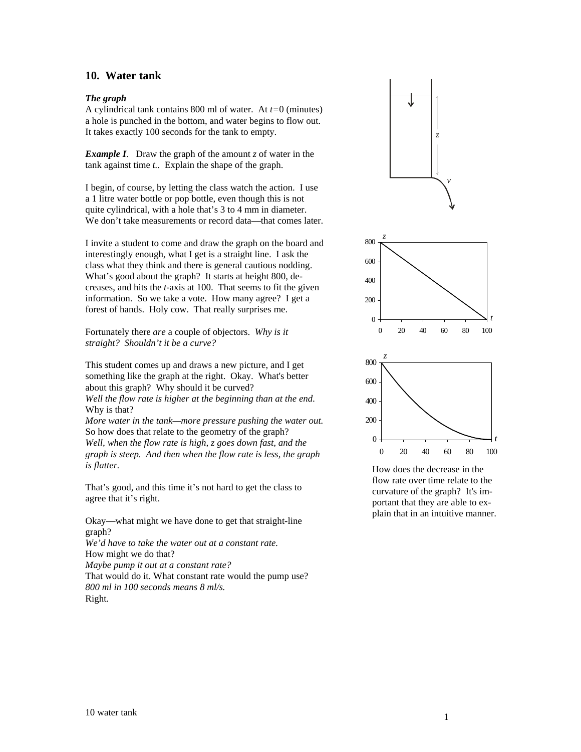# **10. Water tank**

## *The graph*

A cylindrical tank contains 800 ml of water. At *t=*0 (minutes) a hole is punched in the bottom, and water begins to flow out. It takes exactly 100 seconds for the tank to empty.

*Example I*. Draw the graph of the amount *z* of water in the tank against time *t..* Explain the shape of the graph.

I begin, of course, by letting the class watch the action. I use a 1 litre water bottle or pop bottle, even though this is not quite cylindrical, with a hole that's 3 to 4 mm in diameter. We don't take measurements or record data—that comes later.

I invite a student to come and draw the graph on the board and interestingly enough, what I get is a straight line. I ask the class what they think and there is general cautious nodding. What's good about the graph? It starts at height 800, decreases, and hits the *t*-axis at 100. That seems to fit the given information. So we take a vote. How many agree? I get a forest of hands. Holy cow. That really surprises me.

Fortunately there *are* a couple of objectors. *Why is it straight? Shouldn't it be a curve?*

This student comes up and draws a new picture, and I get something like the graph at the right. Okay. What's better about this graph? Why should it be curved?

*Well the flow rate is higher at the beginning than at the end.*  Why is that?

*More water in the tank—more pressure pushing the water out.*  So how does that relate to the geometry of the graph? *Well, when the flow rate is high, z goes down fast, and the graph is steep. And then when the flow rate is less, the graph is flatter.* 

That's good, and this time it's not hard to get the class to agree that it's right.

Okay––what might we have done to get that straight-line graph?

*We'd have to take the water out at a constant rate.*  How might we do that?

*Maybe pump it out at a constant rate?* 

That would do it. What constant rate would the pump use? *800 ml in 100 seconds means 8 ml/s.*  Right.



How does the decrease in the flow rate over time relate to the curvature of the graph? It's important that they are able to explain that in an intuitive manner.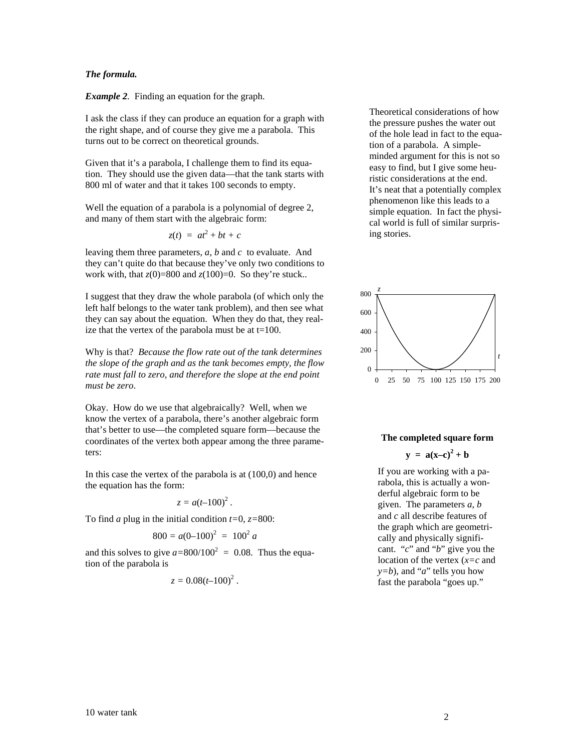#### *The formula.*

*Example 2.* Finding an equation for the graph.

I ask the class if they can produce an equation for a graph with the right shape, and of course they give me a parabola. This turns out to be correct on theoretical grounds.

Given that it's a parabola, I challenge them to find its equation. They should use the given data––that the tank starts with 800 ml of water and that it takes 100 seconds to empty.

Well the equation of a parabola is a polynomial of degree 2, and many of them start with the algebraic form:

$$
z(t) = at^2 + bt + c
$$

leaving them three parameters, *a*, *b* and *c* to evaluate. And they can't quite do that because they've only two conditions to work with, that  $z(0)=800$  and  $z(100)=0$ . So they're stuck..

I suggest that they draw the whole parabola (of which only the left half belongs to the water tank problem), and then see what they can say about the equation. When they do that, they realize that the vertex of the parabola must be at  $t=100$ .

Why is that? *Because the flow rate out of the tank determines the slope of the graph and as the tank becomes empty, the flow rate must fall to zero, and therefore the slope at the end point must be zero*.

Okay. How do we use that algebraically? Well, when we know the vertex of a parabola, there's another algebraic form that's better to use––the completed square form––because the coordinates of the vertex both appear among the three parameters:

In this case the vertex of the parabola is at (100,0) and hence the equation has the form:

$$
z = a(t-100)^2.
$$

To find *a* plug in the initial condition *t=*0, *z=*800:

$$
800 = a(0-100)^2 = 100^2 a
$$

and this solves to give  $a = 800/100^2 = 0.08$ . Thus the equation of the parabola is

$$
z=0.08(t-100)^2.
$$

Theoretical considerations of how the pressure pushes the water out of the hole lead in fact to the equation of a parabola. A simpleminded argument for this is not so easy to find, but I give some heuristic considerations at the end. It's neat that a potentially complex phenomenon like this leads to a simple equation. In fact the physical world is full of similar surprising stories.



# **The completed square form**

 $y = a(x-c)^2 + b$ 

If you are working with a parabola, this is actually a wonderful algebraic form to be given. The parameters *a*, *b* and *c* all describe features of the graph which are geometrically and physically significant. "*c*" and "*b*" give you the location of the vertex (*x=c* and  $y=b$ , and "*a*" tells you how fast the parabola "goes up."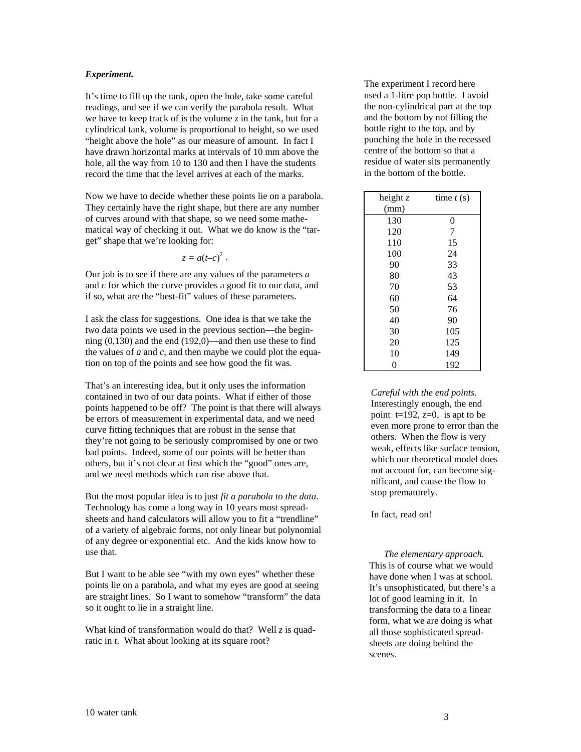## *Experiment.*

It's time to fill up the tank, open the hole, take some careful readings, and see if we can verify the parabola result. What we have to keep track of is the volume *z* in the tank, but for a cylindrical tank, volume is proportional to height, so we used "height above the hole" as our measure of amount. In fact I have drawn horizontal marks at intervals of 10 mm above the hole, all the way from 10 to 130 and then I have the students record the time that the level arrives at each of the marks.

Now we have to decide whether these points lie on a parabola. They certainly have the right shape, but there are any number of curves around with that shape, so we need some mathematical way of checking it out. What we do know is the "target" shape that we're looking for:

 $z = a(-c)^2$ .

Our job is to see if there are any values of the parameters *a* and *c* for which the curve provides a good fit to our data, and if so, what are the "best-fit" values of these parameters.

I ask the class for suggestions. One idea is that we take the two data points we used in the previous section—the beginning  $(0.130)$  and the end  $(192.0)$ —and then use these to find the values of *a* and *c*, and then maybe we could plot the equation on top of the points and see how good the fit was.

That's an interesting idea, but it only uses the information contained in two of our data points. What if either of those points happened to be off? The point is that there will always be errors of measurement in experimental data, and we need curve fitting techniques that are robust in the sense that they're not going to be seriously compromised by one or two bad points. Indeed, some of our points will be better than others, but it's not clear at first which the "good" ones are, and we need methods which can rise above that.

But the most popular idea is to just *fit a parabola to the data*. Technology has come a long way in 10 years most spreadsheets and hand calculators will allow you to fit a "trendline" of a variety of algebraic forms, not only linear but polynomial of any degree or exponential etc. And the kids know how to use that.

But I want to be able see "with my own eyes" whether these points lie on a parabola, and what my eyes are good at seeing are straight lines. So I want to somehow "transform" the data so it ought to lie in a straight line.

What kind of transformation would do that? Well *z* is quadratic in *t*. What about looking at its square root?

The experiment I record here used a 1-litre pop bottle. I avoid the non-cylindrical part at the top and the bottom by not filling the bottle right to the top, and by punching the hole in the recessed centre of the bottom so that a residue of water sits permanently in the bottom of the bottle.

| height $z$ | time $t(s)$      |
|------------|------------------|
| (mm)       |                  |
| 130        | $\boldsymbol{0}$ |
| 120        | 7                |
| 110        | 15               |
| 100        | 24               |
| 90         | 33               |
| 80         | 43               |
| 70         | 53               |
| 60         | 64               |
| 50         | 76               |
| 40         | 90               |
| 30         | 105              |
| 20         | 125              |
| 10         | 149              |
| 0          | 192              |

*Careful with the end points.*  Interestingly enough, the end point  $t=192$ ,  $z=0$ , is apt to be even more prone to error than the others. When the flow is very weak, effects like surface tension, which our theoretical model does not account for, can become significant, and cause the flow to stop prematurely.

In fact, read on!

*The elementary approach.*  This is of course what we would have done when I was at school. It's unsophisticated, but there's a lot of good learning in it. In transforming the data to a linear form, what we are doing is what all those sophisticated spreadsheets are doing behind the scenes.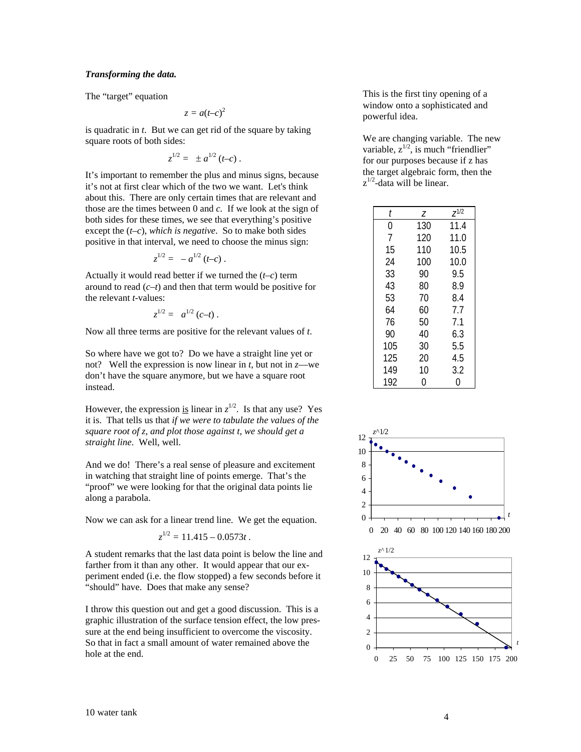## *Transforming the data.*

The "target" equation

$$
z = a(t-c)^2
$$

is quadratic in *t*. But we can get rid of the square by taking square roots of both sides:

$$
z^{1/2} = \pm a^{1/2} (t-c).
$$

It's important to remember the plus and minus signs, because it's not at first clear which of the two we want. Let's think about this. There are only certain times that are relevant and those are the times between 0 and *c.* If we look at the sign of both sides for these times, we see that everything's positive except the (*t–c*), *which is negative*. So to make both sides positive in that interval, we need to choose the minus sign:

$$
z^{1/2} = -a^{1/2} (t-c).
$$

Actually it would read better if we turned the (*t–c*) term around to read (*c–t*) and then that term would be positive for the relevant *t*-values:

$$
z^{1/2} = a^{1/2} (c-t).
$$

Now all three terms are positive for the relevant values of *t*.

So where have we got to? Do we have a straight line yet or not? Well the expression is now linear in  $t$ , but not in  $z$ —we don't have the square anymore, but we have a square root instead.

However, the expression is linear in  $z^{1/2}$ . Is that any use? Yes it is. That tells us that *if we were to tabulate the values of the square root of z, and plot those against t, we should get a straight line*. Well, well.

And we do! There's a real sense of pleasure and excitement in watching that straight line of points emerge. That's the "proof" we were looking for that the original data points lie along a parabola.

Now we can ask for a linear trend line. We get the equation.

$$
z^{1/2}=11.415-0.0573t.
$$

A student remarks that the last data point is below the line and farther from it than any other. It would appear that our experiment ended (i.e. the flow stopped) a few seconds before it "should" have. Does that make any sense?

I throw this question out and get a good discussion. This is a graphic illustration of the surface tension effect, the low pressure at the end being insufficient to overcome the viscosity. So that in fact a small amount of water remained above the hole at the end.

This is the first tiny opening of a window onto a sophisticated and powerful idea.

We are changing variable. The new variable,  $z^{1/2}$ , is much "friendlier" for our purposes because if z has the target algebraic form, then the  $z^{1/2}$ -data will be linear.

| t   | Ζ   | $Z^{1/2}$ |
|-----|-----|-----------|
| 0   | 130 | 11.4      |
| 7   | 120 | 11.0      |
| 15  | 110 | 10.5      |
| 24  | 100 | 10.0      |
| 33  | 90  | 9.5       |
| 43  | 80  | 8.9       |
| 53  | 70  | 8.4       |
| 64  | 60  | 7.7       |
| 76  | 50  | 7.1       |
| 90  | 40  | 6.3       |
| 105 | 30  | 5.5       |
| 125 | 20  | 4.5       |
| 149 | 10  | 3.2       |
| 192 | N   | በ         |

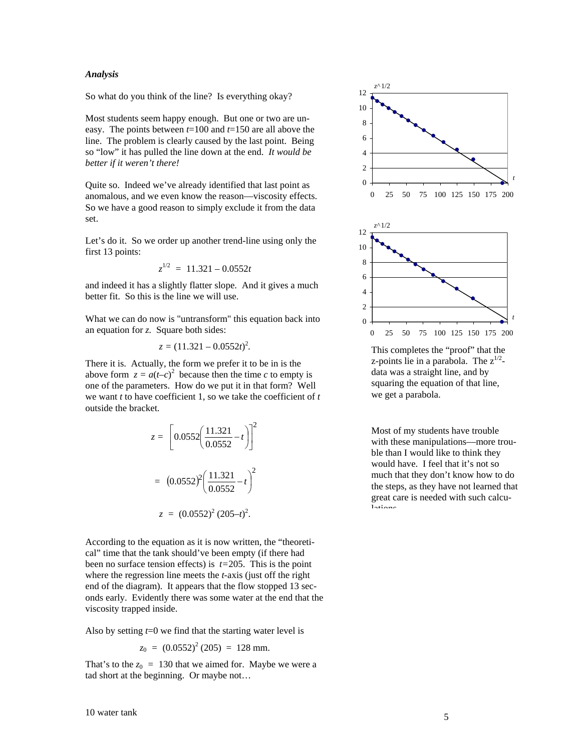## *Analysis*

So what do you think of the line? Is everything okay?

Most students seem happy enough. But one or two are uneasy. The points between *t*=100 and *t*=150 are all above the line. The problem is clearly caused by the last point. Being so "low" it has pulled the line down at the end. *It would be better if it weren't there!*

Quite so. Indeed we've already identified that last point as anomalous, and we even know the reason––viscosity effects. So we have a good reason to simply exclude it from the data set.

Let's do it. So we order up another trend-line using only the first 13 points:

$$
z^{1/2} = 11.321 - 0.0552t
$$

and indeed it has a slightly flatter slope. And it gives a much better fit. So this is the line we will use.

What we can do now is "untransform" this equation back into an equation for *z.* Square both sides:

$$
z = (11.321 - 0.0552t)^2.
$$

There it is. Actually, the form we prefer it to be in is the above form  $z = a(t-c)^2$  because then the time *c* to empty is one of the parameters. How do we put it in that form? Well we want *t* to have coefficient 1, so we take the coefficient of *t* outside the bracket.

$$
z = \left[0.0552 \left(\frac{11.321}{0.0552} - t\right)\right]^2
$$

$$
= (0.0552)^2 \left(\frac{11.321}{0.0552} - t\right)^2
$$

$$
z = (0.0552)^2 (205 - t)^2.
$$

According to the equation as it is now written, the "theoretical" time that the tank should've been empty (if there had been no surface tension effects) is *t=*205. This is the point where the regression line meets the *t-*axis (just off the right end of the diagram). It appears that the flow stopped 13 seconds early. Evidently there was some water at the end that the viscosity trapped inside.

Also by setting *t*=0 we find that the starting water level is

$$
z_0 = (0.0552)^2 (205) = 128 \text{ mm}.
$$

That's to the  $z_0 = 130$  that we aimed for. Maybe we were a tad short at the beginning. Or maybe not…



This completes the "proof" that the z-points lie in a parabola. The  $z^{1/2}$ data was a straight line, and by squaring the equation of that line, we get a parabola.

Most of my students have trouble with these manipulations—more trouble than I would like to think they would have. I feel that it's not so much that they don't know how to do the steps, as they have not learned that great care is needed with such calculations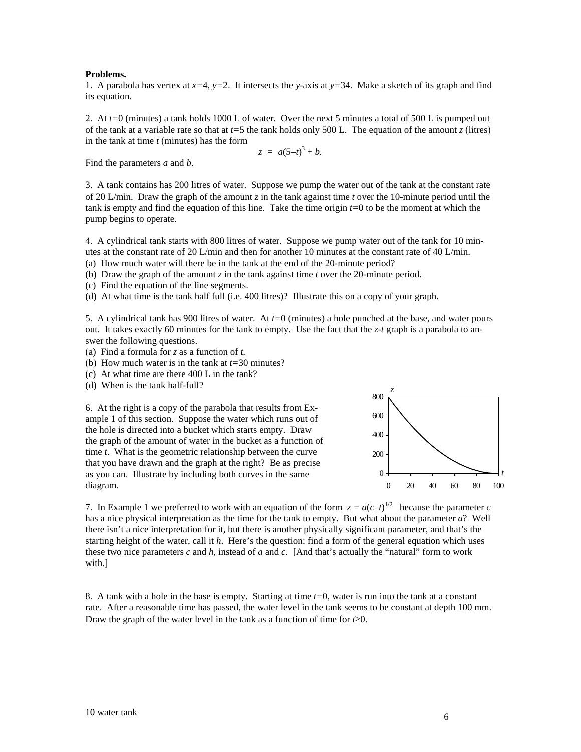#### **Problems.**

1. A parabola has vertex at  $x=4$ ,  $y=2$ . It intersects the *y*-axis at  $y=34$ . Make a sketch of its graph and find its equation.

2. At *t=*0 (minutes) a tank holds 1000 L of water. Over the next 5 minutes a total of 500 L is pumped out of the tank at a variable rate so that at *t=*5 the tank holds only 500 L. The equation of the amount *z* (litres) in the tank at time *t* (minutes) has the form

$$
z = a(5-t)^3 + b.
$$

Find the parameters *a* and *b*.

3. A tank contains has 200 litres of water. Suppose we pump the water out of the tank at the constant rate of 20 L/min. Draw the graph of the amount *z* in the tank against time *t* over the 10-minute period until the tank is empty and find the equation of this line. Take the time origin *t=*0 to be the moment at which the pump begins to operate.

4. A cylindrical tank starts with 800 litres of water. Suppose we pump water out of the tank for 10 minutes at the constant rate of 20 L/min and then for another 10 minutes at the constant rate of 40 L/min.

(a) How much water will there be in the tank at the end of the 20-minute period?

(b) Draw the graph of the amount *z* in the tank against time *t* over the 20-minute period.

(c) Find the equation of the line segments.

(d) At what time is the tank half full (i.e. 400 litres)? Illustrate this on a copy of your graph.

5. A cylindrical tank has 900 litres of water. At *t=*0 (minutes) a hole punched at the base, and water pours out. It takes exactly 60 minutes for the tank to empty. Use the fact that the *z-t* graph is a parabola to answer the following questions.

- (a) Find a formula for *z* as a function of *t.*
- (b) How much water is in the tank at *t=*30 minutes?
- (c) At what time are there 400 L in the tank?
- (d) When is the tank half-full?

6. At the right is a copy of the parabola that results from Example 1 of this section. Suppose the water which runs out of the hole is directed into a bucket which starts empty. Draw the graph of the amount of water in the bucket as a function of time *t*. What is the geometric relationship between the curve that you have drawn and the graph at the right? Be as precise as you can. Illustrate by including both curves in the same diagram.



7. In Example 1 we preferred to work with an equation of the form  $z = a(c-t)^{1/2}$  because the parameter *c* has a nice physical interpretation as the time for the tank to empty. But what about the parameter *a*? Well there isn't a nice interpretation for it, but there is another physically significant parameter, and that's the starting height of the water, call it *h*. Here's the question: find a form of the general equation which uses these two nice parameters *c* and *h*, instead of *a* and *c*. [And that's actually the "natural" form to work with.]

8. A tank with a hole in the base is empty. Starting at time *t=*0, water is run into the tank at a constant rate. After a reasonable time has passed, the water level in the tank seems to be constant at depth 100 mm. Draw the graph of the water level in the tank as a function of time for *t*≥0.